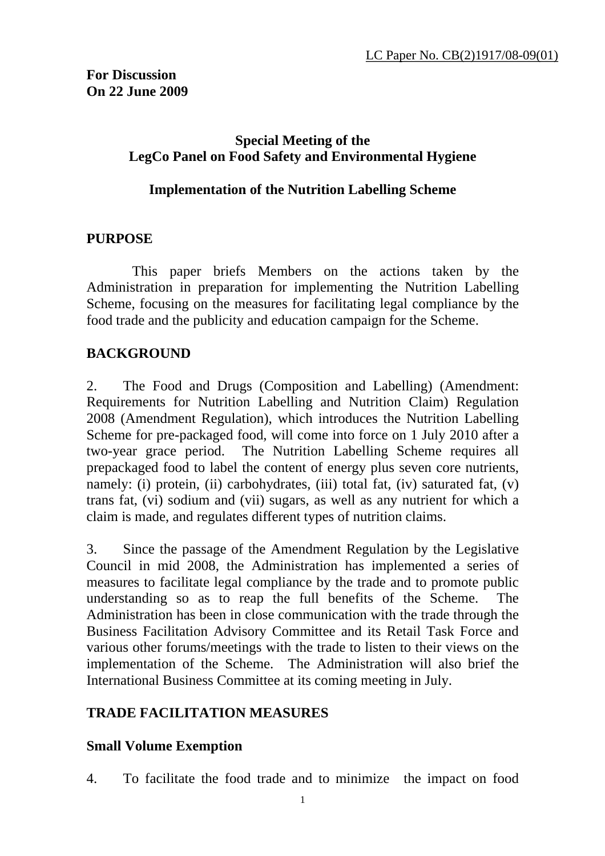### **Special Meeting of the LegCo Panel on Food Safety and Environmental Hygiene**

#### **Implementation of the Nutrition Labelling Scheme**

#### **PURPOSE**

 This paper briefs Members on the actions taken by the Administration in preparation for implementing the Nutrition Labelling Scheme, focusing on the measures for facilitating legal compliance by the food trade and the publicity and education campaign for the Scheme.

### **BACKGROUND**

2. The Food and Drugs (Composition and Labelling) (Amendment: Requirements for Nutrition Labelling and Nutrition Claim) Regulation 2008 (Amendment Regulation), which introduces the Nutrition Labelling Scheme for pre-packaged food, will come into force on 1 July 2010 after a two-year grace period. The Nutrition Labelling Scheme requires all prepackaged food to label the content of energy plus seven core nutrients, namely: (i) protein, (ii) carbohydrates, (iii) total fat, (iv) saturated fat, (v) trans fat, (vi) sodium and (vii) sugars, as well as any nutrient for which a claim is made, and regulates different types of nutrition claims.

3. Since the passage of the Amendment Regulation by the Legislative Council in mid 2008, the Administration has implemented a series of measures to facilitate legal compliance by the trade and to promote public understanding so as to reap the full benefits of the Scheme. The Administration has been in close communication with the trade through the Business Facilitation Advisory Committee and its Retail Task Force and various other forums/meetings with the trade to listen to their views on the implementation of the Scheme. The Administration will also brief the International Business Committee at its coming meeting in July.

### **TRADE FACILITATION MEASURES**

#### **Small Volume Exemption**

4. To facilitate the food trade and to minimize the impact on food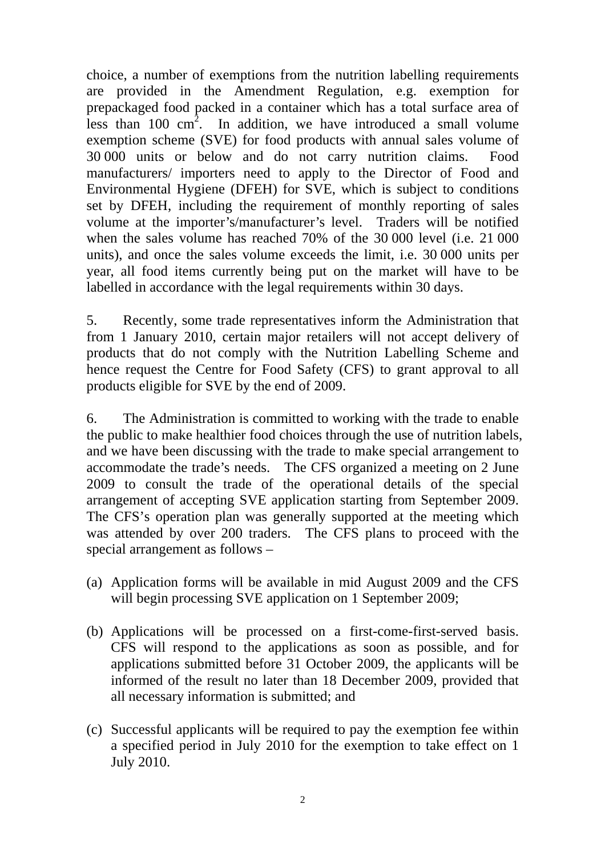choice, a number of exemptions from the nutrition labelling requirements are provided in the Amendment Regulation, e.g. exemption for prepackaged food packed in a container which has a total surface area of less than  $100 \text{ cm}^2$ . In addition, we have introduced a small volume exemption scheme (SVE) for food products with annual sales volume of 30 000 units or below and do not carry nutrition claims. Food manufacturers/ importers need to apply to the Director of Food and Environmental Hygiene (DFEH) for SVE, which is subject to conditions set by DFEH, including the requirement of monthly reporting of sales volume at the importer's/manufacturer's level. Traders will be notified when the sales volume has reached 70% of the 30 000 level (i.e. 21 000 units), and once the sales volume exceeds the limit, i.e. 30 000 units per year, all food items currently being put on the market will have to be labelled in accordance with the legal requirements within 30 days.

5. Recently, some trade representatives inform the Administration that from 1 January 2010, certain major retailers will not accept delivery of products that do not comply with the Nutrition Labelling Scheme and hence request the Centre for Food Safety (CFS) to grant approval to all products eligible for SVE by the end of 2009.

6. The Administration is committed to working with the trade to enable the public to make healthier food choices through the use of nutrition labels, and we have been discussing with the trade to make special arrangement to accommodate the trade's needs. The CFS organized a meeting on 2 June 2009 to consult the trade of the operational details of the special arrangement of accepting SVE application starting from September 2009. The CFS's operation plan was generally supported at the meeting which was attended by over 200 traders. The CFS plans to proceed with the special arrangement as follows –

- (a) Application forms will be available in mid August 2009 and the CFS will begin processing SVE application on 1 September 2009;
- (b) Applications will be processed on a first-come-first-served basis. CFS will respond to the applications as soon as possible, and for applications submitted before 31 October 2009, the applicants will be informed of the result no later than 18 December 2009, provided that all necessary information is submitted; and
- (c) Successful applicants will be required to pay the exemption fee within a specified period in July 2010 for the exemption to take effect on 1 July 2010.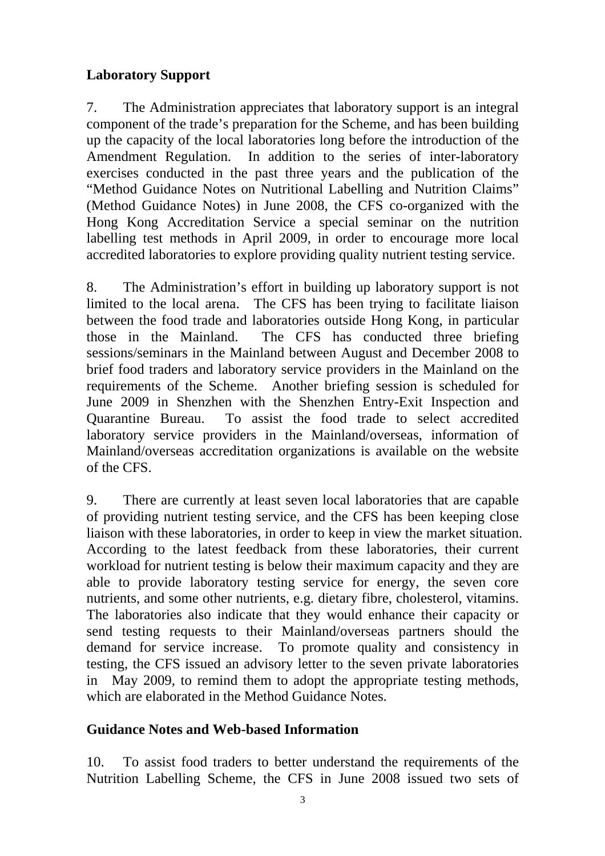# **Laboratory Support**

7. The Administration appreciates that laboratory support is an integral component of the trade's preparation for the Scheme, and has been building up the capacity of the local laboratories long before the introduction of the Amendment Regulation. In addition to the series of inter-laboratory exercises conducted in the past three years and the publication of the "Method Guidance Notes on Nutritional Labelling and Nutrition Claims" (Method Guidance Notes) in June 2008, the CFS co-organized with the Hong Kong Accreditation Service a special seminar on the nutrition labelling test methods in April 2009, in order to encourage more local accredited laboratories to explore providing quality nutrient testing service.

8. The Administration's effort in building up laboratory support is not limited to the local arena. The CFS has been trying to facilitate liaison between the food trade and laboratories outside Hong Kong, in particular those in the Mainland. The CFS has conducted three briefing sessions/seminars in the Mainland between August and December 2008 to brief food traders and laboratory service providers in the Mainland on the requirements of the Scheme. Another briefing session is scheduled for June 2009 in Shenzhen with the Shenzhen Entry-Exit Inspection and Quarantine Bureau. To assist the food trade to select accredited laboratory service providers in the Mainland/overseas, information of Mainland/overseas accreditation organizations is available on the website of the CFS.

9. There are currently at least seven local laboratories that are capable of providing nutrient testing service, and the CFS has been keeping close liaison with these laboratories, in order to keep in view the market situation. According to the latest feedback from these laboratories, their current workload for nutrient testing is below their maximum capacity and they are able to provide laboratory testing service for energy, the seven core nutrients, and some other nutrients, e.g. dietary fibre, cholesterol, vitamins. The laboratories also indicate that they would enhance their capacity or send testing requests to their Mainland/overseas partners should the demand for service increase. To promote quality and consistency in testing, the CFS issued an advisory letter to the seven private laboratories in May 2009, to remind them to adopt the appropriate testing methods, which are elaborated in the Method Guidance Notes.

### **Guidance Notes and Web-based Information**

10. To assist food traders to better understand the requirements of the Nutrition Labelling Scheme, the CFS in June 2008 issued two sets of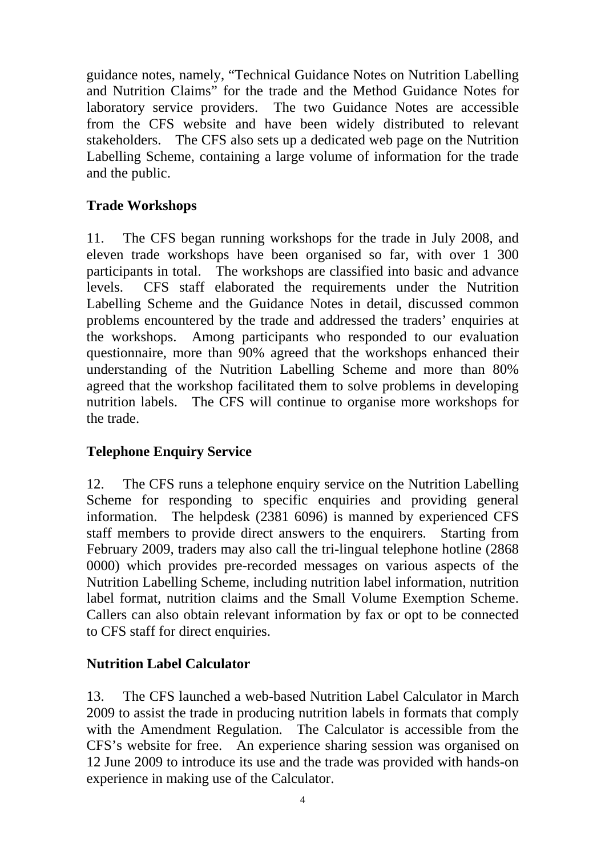guidance notes, namely, "Technical Guidance Notes on Nutrition Labelling and Nutrition Claims" for the trade and the Method Guidance Notes for laboratory service providers. The two Guidance Notes are accessible from the CFS website and have been widely distributed to relevant stakeholders. The CFS also sets up a dedicated web page on the Nutrition Labelling Scheme, containing a large volume of information for the trade and the public.

# **Trade Workshops**

11. The CFS began running workshops for the trade in July 2008, and eleven trade workshops have been organised so far, with over 1 300 participants in total. The workshops are classified into basic and advance levels. CFS staff elaborated the requirements under the Nutrition Labelling Scheme and the Guidance Notes in detail, discussed common problems encountered by the trade and addressed the traders' enquiries at the workshops. Among participants who responded to our evaluation questionnaire, more than 90% agreed that the workshops enhanced their understanding of the Nutrition Labelling Scheme and more than 80% agreed that the workshop facilitated them to solve problems in developing nutrition labels. The CFS will continue to organise more workshops for the trade.

### **Telephone Enquiry Service**

12. The CFS runs a telephone enquiry service on the Nutrition Labelling Scheme for responding to specific enquiries and providing general information. The helpdesk (2381 6096) is manned by experienced CFS staff members to provide direct answers to the enquirers. Starting from February 2009, traders may also call the tri-lingual telephone hotline (2868 0000) which provides pre-recorded messages on various aspects of the Nutrition Labelling Scheme, including nutrition label information, nutrition label format, nutrition claims and the Small Volume Exemption Scheme. Callers can also obtain relevant information by fax or opt to be connected to CFS staff for direct enquiries.

### **Nutrition Label Calculator**

13. The CFS launched a web-based Nutrition Label Calculator in March 2009 to assist the trade in producing nutrition labels in formats that comply with the Amendment Regulation. The Calculator is accessible from the CFS's website for free. An experience sharing session was organised on 12 June 2009 to introduce its use and the trade was provided with hands-on experience in making use of the Calculator.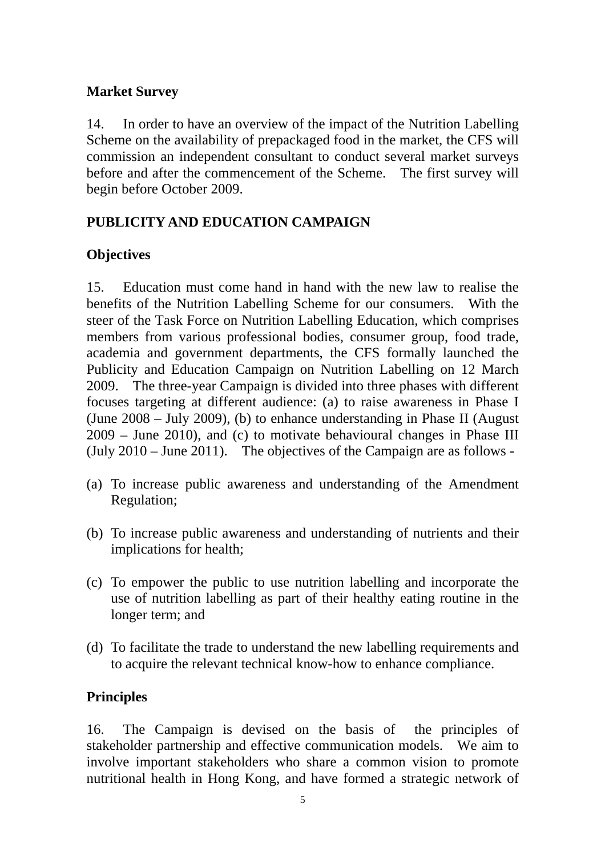#### **Market Survey**

14. In order to have an overview of the impact of the Nutrition Labelling Scheme on the availability of prepackaged food in the market, the CFS will commission an independent consultant to conduct several market surveys before and after the commencement of the Scheme. The first survey will begin before October 2009.

# **PUBLICITY AND EDUCATION CAMPAIGN**

# **Objectives**

15. Education must come hand in hand with the new law to realise the benefits of the Nutrition Labelling Scheme for our consumers. With the steer of the Task Force on Nutrition Labelling Education, which comprises members from various professional bodies, consumer group, food trade, academia and government departments, the CFS formally launched the Publicity and Education Campaign on Nutrition Labelling on 12 March 2009. The three-year Campaign is divided into three phases with different focuses targeting at different audience: (a) to raise awareness in Phase I (June 2008 – July 2009), (b) to enhance understanding in Phase II (August 2009 – June 2010), and (c) to motivate behavioural changes in Phase III (July 2010 – June 2011). The objectives of the Campaign are as follows -

- (a) To increase public awareness and understanding of the Amendment Regulation;
- (b) To increase public awareness and understanding of nutrients and their implications for health;
- (c) To empower the public to use nutrition labelling and incorporate the use of nutrition labelling as part of their healthy eating routine in the longer term; and
- (d) To facilitate the trade to understand the new labelling requirements and to acquire the relevant technical know-how to enhance compliance.

### **Principles**

16. The Campaign is devised on the basis of the principles of stakeholder partnership and effective communication models. We aim to involve important stakeholders who share a common vision to promote nutritional health in Hong Kong, and have formed a strategic network of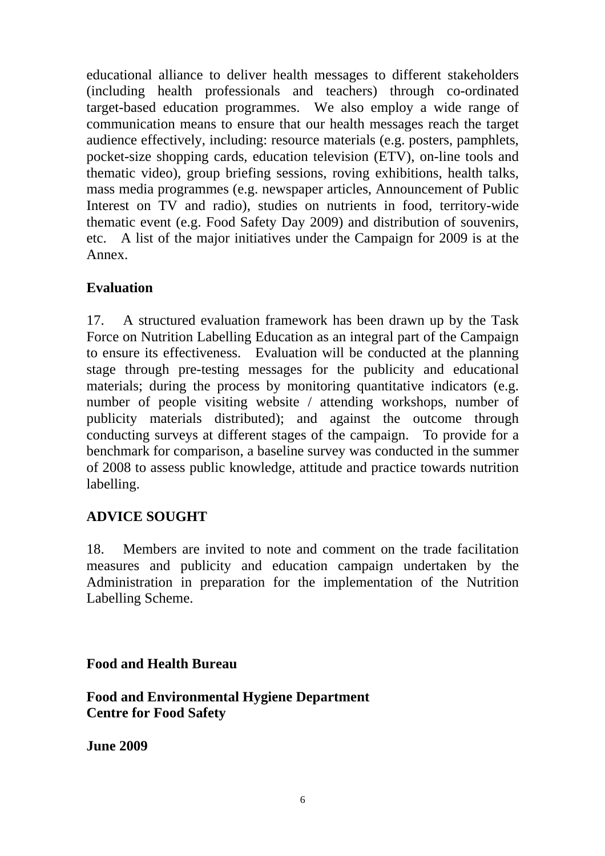educational alliance to deliver health messages to different stakeholders (including health professionals and teachers) through co-ordinated target-based education programmes. We also employ a wide range of communication means to ensure that our health messages reach the target audience effectively, including: resource materials (e.g. posters, pamphlets, pocket-size shopping cards, education television (ETV), on-line tools and thematic video), group briefing sessions, roving exhibitions, health talks, mass media programmes (e.g. newspaper articles, Announcement of Public Interest on TV and radio), studies on nutrients in food, territory-wide thematic event (e.g. Food Safety Day 2009) and distribution of souvenirs, etc. A list of the major initiatives under the Campaign for 2009 is at the Annex.

# **Evaluation**

17. A structured evaluation framework has been drawn up by the Task Force on Nutrition Labelling Education as an integral part of the Campaign to ensure its effectiveness. Evaluation will be conducted at the planning stage through pre-testing messages for the publicity and educational materials; during the process by monitoring quantitative indicators (e.g. number of people visiting website / attending workshops, number of publicity materials distributed); and against the outcome through conducting surveys at different stages of the campaign. To provide for a benchmark for comparison, a baseline survey was conducted in the summer of 2008 to assess public knowledge, attitude and practice towards nutrition labelling.

### **ADVICE SOUGHT**

18. Members are invited to note and comment on the trade facilitation measures and publicity and education campaign undertaken by the Administration in preparation for the implementation of the Nutrition Labelling Scheme.

**Food and Health Bureau** 

**Food and Environmental Hygiene Department Centre for Food Safety** 

**June 2009**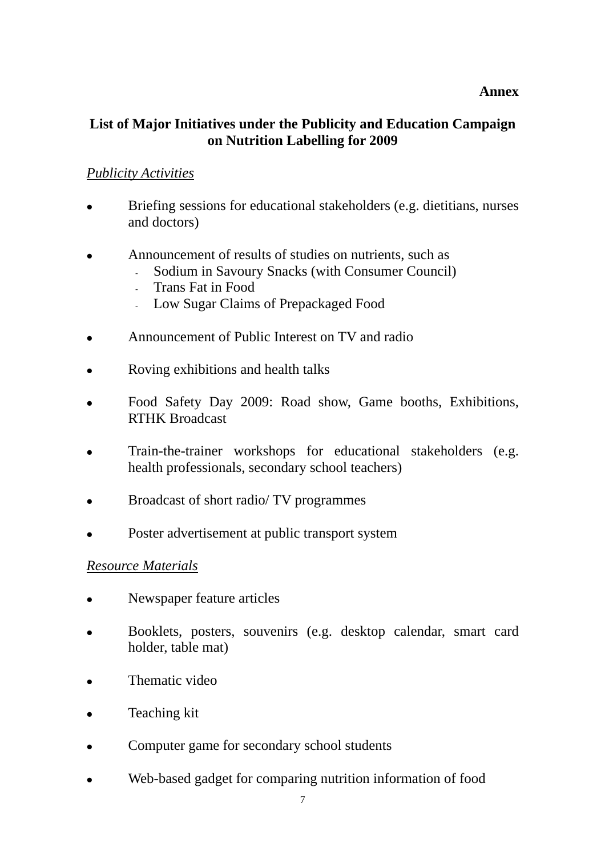#### **Annex**

### **List of Major Initiatives under the Publicity and Education Campaign on Nutrition Labelling for 2009**

#### *Publicity Activities*

- Briefing sessions for educational stakeholders (e.g. dietitians, nurses and doctors)
- Announcement of results of studies on nutrients, such as
	- Sodium in Savoury Snacks (with Consumer Council)
	- Trans Fat in Food
	- Low Sugar Claims of Prepackaged Food
- Announcement of Public Interest on TV and radio
- Roving exhibitions and health talks
- Food Safety Day 2009: Road show, Game booths, Exhibitions, RTHK Broadcast
- Train-the-trainer workshops for educational stakeholders (e.g. health professionals, secondary school teachers)
- Broadcast of short radio/ TV programmes
- Poster advertisement at public transport system

#### *Resource Materials*

- Newspaper feature articles
- <sup>z</sup> Booklets, posters, souvenirs (e.g. desktop calendar, smart card holder, table mat)
- $\bullet$  Thematic video
- Teaching kit
- Computer game for secondary school students
- Web-based gadget for comparing nutrition information of food